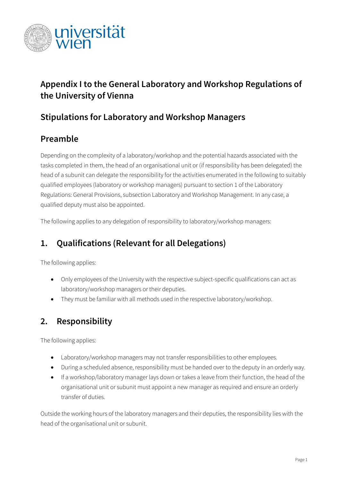

# **Appendix I to the General Laboratory and Workshop Regulations of the University of Vienna**

#### **Stipulations for Laboratory and Workshop Managers**

### **Preamble**

Depending on the complexity of a laboratory/workshop and the potential hazards associated with the tasks completed in them, the head of an organisational unit or (if responsibility has been delegated) the head of a subunit can delegate the responsibility for the activities enumerated in the following to suitably qualified employees (laboratory or workshop managers) pursuant to section 1 of the Laboratory Regulations: General Provisions, subsection Laboratory and Workshop Management. In any case, a qualified deputy must also be appointed.

The following applies to any delegation of responsibility to laboratory/workshop managers:

# **1. Qualifications (Relevant for all Delegations)**

The following applies:

- Only employees of the University with the respective subject-specific qualifications can act as laboratory/workshop managers or their deputies.
- They must be familiar with all methods used in the respective laboratory/workshop.

#### **2. Responsibility**

The following applies:

- Laboratory/workshop managers may not transfer responsibilities to other employees.
- During a scheduled absence, responsibility must be handed over to the deputy in an orderly way.
- If a workshop/laboratory manager lays down or takes a leave from their function, the head of the organisational unit or subunit must appoint a new manager as required and ensure an orderly transfer of duties.

Outside the working hours of the laboratory managers and their deputies, the responsibility lies with the head of the organisational unit or subunit.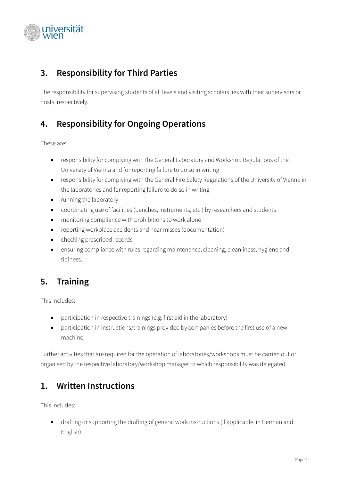

#### **3. Responsibility for Third Parties**

The responsibility for supervising students of all levels and visiting scholars lies with their supervisors or hosts, respectively.

#### **4. Responsibility for Ongoing Operations**

These are:

- responsibility for complying with the General Laboratory and Workshop Regulations of the University of Vienna and for reporting failure to do so in writing
- responsibility for complying with the General Fire Safety Regulations of the University of Vienna in the laboratories and for reporting failure to do so in writing
- running the laboratory
- coordinating use of facilities (benches, instruments, etc.) by researchers and students
- monitoring compliance with prohibitions to work alone
- reporting workplace accidents and near misses (documentation)
- checking prescribed records
- ensuring compliance with rules regarding maintenance, cleaning, cleanliness, hygiene and tidiness.

# **5. Training**

This includes:

- participation in respective trainings (e.g. first aid in the laboratory)
- participation in instructions/trainings provided by companies before the first use of a new machine.

Further activities that are required for the operation of laboratories/workshops must be carried out or organised by the respective laboratory/workshop manager to which responsibility was delegated.

#### **1. Written Instructions**

This includes:

• drafting or supporting the drafting of general work instructions (if applicable, in German and English)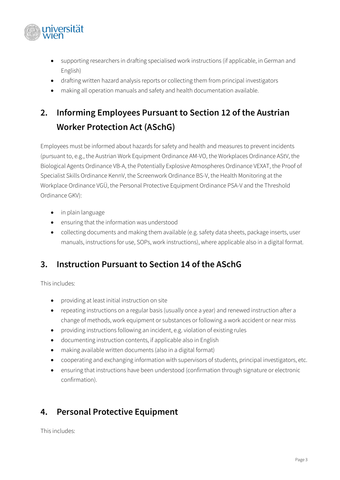

- supporting researchers in drafting specialised work instructions (if applicable, in German and English)
- drafting written hazard analysis reports or collecting them from principal investigators
- making all operation manuals and safety and health documentation available.

# **2. Informing Employees Pursuant to Section 12 of the Austrian Worker Protection Act (ASchG)**

Employees must be informed about hazards for safety and health and measures to prevent incidents (pursuant to, e.g., the Austrian Work Equipment Ordinance AM-VO, the Workplaces Ordinance AStV, the Biological Agents Ordinance VB-A, the Potentially Explosive Atmospheres Ordinance VEXAT, the Proof of Specialist Skills Ordinance KennV, the Screenwork Ordinance BS-V, the Health Monitoring at the Workplace Ordinance VGÜ, the Personal Protective Equipment Ordinance PSA-V and the Threshold Ordinance GKV):

- in plain language
- ensuring that the information was understood
- collecting documents and making them available (e.g. safety data sheets, package inserts, user manuals, instructions for use, SOPs, work instructions), where applicable also in a digital format.

#### **3. Instruction Pursuant to Section 14 of the ASchG**

This includes:

- providing at least initial instruction on site
- repeating instructions on a regular basis (usually once a year) and renewed instruction after a change of methods, work equipment or substances or following a work accident or near miss
- providing instructions following an incident, e.g. violation of existing rules
- documenting instruction contents, if applicable also in English
- making available written documents (also in a digital format)
- cooperating and exchanging information with supervisors of students, principal investigators, etc.
- ensuring that instructions have been understood (confirmation through signature or electronic confirmation).

# **4. Personal Protective Equipment**

This includes: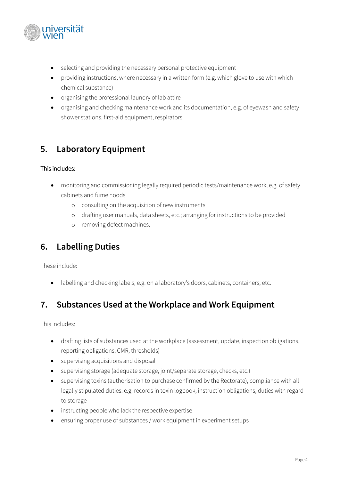

- selecting and providing the necessary personal protective equipment
- providing instructions, where necessary in a written form (e.g. which glove to use with which chemical substance)
- organising the professional laundry of lab attire
- organising and checking maintenance work and its documentation, e.g. of eyewash and safety shower stations, first-aid equipment, respirators.

### **5. Laboratory Equipment**

#### This includes:

- monitoring and commissioning legally required periodic tests/maintenance work, e.g. of safety cabinets and fume hoods
	- o consulting on the acquisition of new instruments
	- o drafting user manuals, data sheets, etc.; arranging for instructions to be provided
	- o removing defect machines.

#### **6. Labelling Duties**

These include:

• labelling and checking labels, e.g. on a laboratory's doors, cabinets, containers, etc.

#### **7. Substances Used at the Workplace and Work Equipment**

This includes:

- drafting lists of substances used at the workplace (assessment, update, inspection obligations, reporting obligations, CMR, thresholds)
- supervising acquisitions and disposal
- supervising storage (adequate storage, joint/separate storage, checks, etc.)
- supervising toxins (authorisation to purchase confirmed by the Rectorate), compliance with all legally stipulated duties: e.g. records in toxin logbook, instruction obligations, duties with regard to storage
- instructing people who lack the respective expertise
- ensuring proper use of substances / work equipment in experiment setups